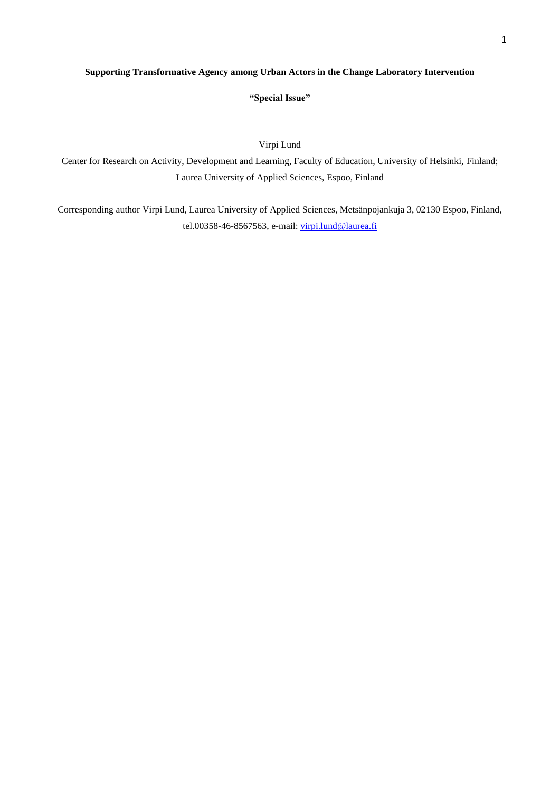# **Supporting Transformative Agency among Urban Actors in the Change Laboratory Intervention**

**"Special Issue"**

Virpi Lund

Center for Research on Activity, Development and Learning, Faculty of Education, University of Helsinki, Finland; Laurea University of Applied Sciences, Espoo, Finland

Corresponding author Virpi Lund, Laurea University of Applied Sciences, Metsänpojankuja 3, 02130 Espoo, Finland, tel.00358-46-8567563, e-mail: [virpi.lund@laurea.fi](mailto:virpi.lund@laurea.fi)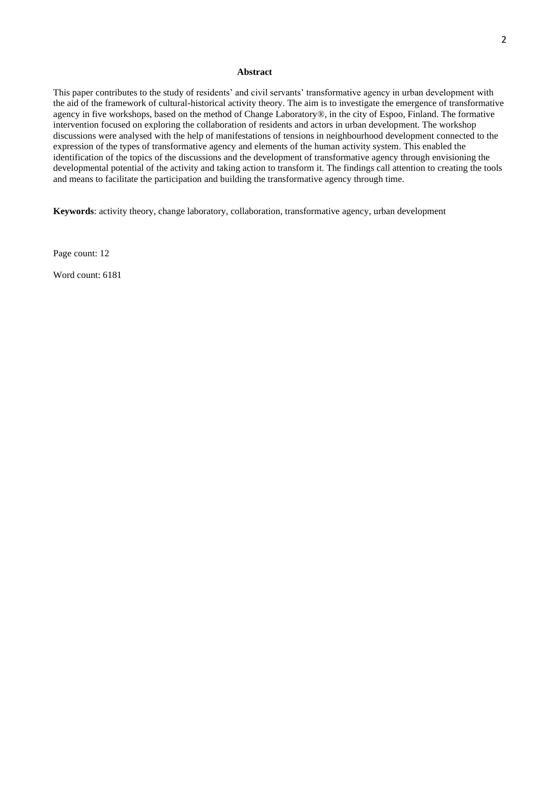### **Abstract**

This paper contributes to the study of residents' and civil servants' transformative agency in urban development with the aid of the framework of cultural-historical activity theory. The aim is to investigate the emergence of transformative agency in five workshops, based on the method of Change Laboratory®, in the city of Espoo, Finland. The formative intervention focused on exploring the collaboration of residents and actors in urban development. The workshop discussions were analysed with the help of manifestations of tensions in neighbourhood development connected to the expression of the types of transformative agency and elements of the human activity system. This enabled the identification of the topics of the discussions and the development of transformative agency through envisioning the developmental potential of the activity and taking action to transform it. The findings call attention to creating the tools and means to facilitate the participation and building the transformative agency through time.

**Keywords**: activity theory, change laboratory, collaboration, transformative agency, urban development

Page count: 12

Word count: 6181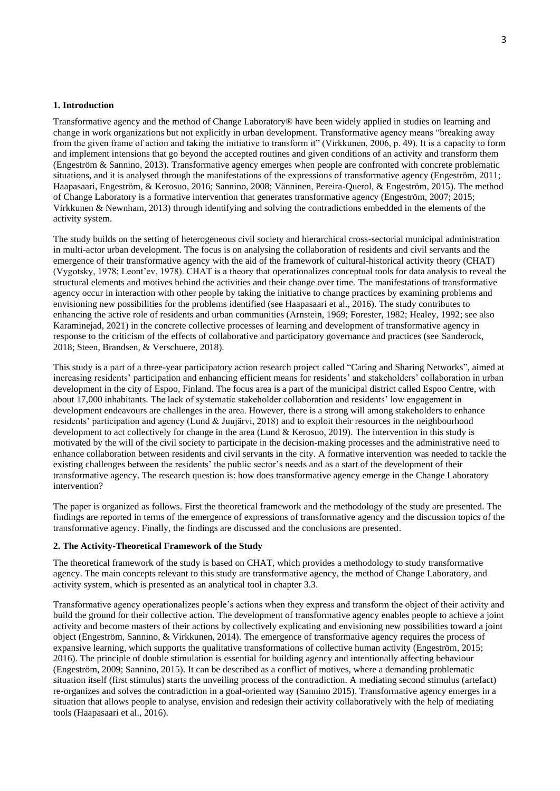### **1. Introduction**

Transformative agency and the method of Change Laboratory® have been widely applied in studies on learning and change in work organizations but not explicitly in urban development. Transformative agency means "breaking away from the given frame of action and taking the initiative to transform it" (Virkkunen, 2006, p. 49). It is a capacity to form and implement intensions that go beyond the accepted routines and given conditions of an activity and transform them (Engeström & Sannino, 2013). Transformative agency emerges when people are confronted with concrete problematic situations, and it is analysed through the manifestations of the expressions of transformative agency (Engeström, 2011; Haapasaari, Engeström, & Kerosuo, 2016; Sannino, 2008; Vänninen, Pereira-Querol, & Engeström, 2015). The method of Change Laboratory is a formative intervention that generates transformative agency (Engeström, 2007; 2015; Virkkunen & Newnham, 2013) through identifying and solving the contradictions embedded in the elements of the activity system.

The study builds on the setting of heterogeneous civil society and hierarchical cross-sectorial municipal administration in multi-actor urban development. The focus is on analysing the collaboration of residents and civil servants and the emergence of their transformative agency with the aid of the framework of cultural-historical activity theory (CHAT) (Vygotsky, 1978; Leont'ev, 1978). CHAT is a theory that operationalizes conceptual tools for data analysis to reveal the structural elements and motives behind the activities and their change over time. The manifestations of transformative agency occur in interaction with other people by taking the initiative to change practices by examining problems and envisioning new possibilities for the problems identified (see Haapasaari et al., 2016). The study contributes to enhancing the active role of residents and urban communities (Arnstein, 1969; Forester, 1982; Healey, 1992; see also Karaminejad, 2021) in the concrete collective processes of learning and development of transformative agency in response to the criticism of the effects of collaborative and participatory governance and practices (see Sanderock, 2018; Steen, Brandsen, & Verschuere, 2018).

This study is a part of a three-year participatory action research project called "Caring and Sharing Networks", aimed at increasing residents' participation and enhancing efficient means for residents' and stakeholders' collaboration in urban development in the city of Espoo, Finland. The focus area is a part of the municipal district called Espoo Centre, with about 17,000 inhabitants. The lack of systematic stakeholder collaboration and residents' low engagement in development endeavours are challenges in the area. However, there is a strong will among stakeholders to enhance residents' participation and agency (Lund & Juujärvi, 2018) and to exploit their resources in the neighbourhood development to act collectively for change in the area (Lund & Kerosuo, 2019). The intervention in this study is motivated by the will of the civil society to participate in the decision-making processes and the administrative need to enhance collaboration between residents and civil servants in the city. A formative intervention was needed to tackle the existing challenges between the residents' the public sector's needs and as a start of the development of their transformative agency. The research question is: how does transformative agency emerge in the Change Laboratory intervention?

The paper is organized as follows. First the theoretical framework and the methodology of the study are presented. The findings are reported in terms of the emergence of expressions of transformative agency and the discussion topics of the transformative agency. Finally, the findings are discussed and the conclusions are presented.

## **2. The Activity-Theoretical Framework of the Study**

The theoretical framework of the study is based on CHAT, which provides a methodology to study transformative agency. The main concepts relevant to this study are transformative agency, the method of Change Laboratory, and activity system, which is presented as an analytical tool in chapter 3.3.

Transformative agency operationalizes people's actions when they express and transform the object of their activity and build the ground for their collective action. The development of transformative agency enables people to achieve a joint activity and become masters of their actions by collectively explicating and envisioning new possibilities toward a joint object (Engeström, Sannino, & Virkkunen, 2014). The emergence of transformative agency requires the process of expansive learning, which supports the qualitative transformations of collective human activity (Engeström, 2015; 2016). The principle of double stimulation is essential for building agency and intentionally affecting behaviour (Engeström, 2009; Sannino, 2015). It can be described as a conflict of motives, where a demanding problematic situation itself (first stimulus) starts the unveiling process of the contradiction. A mediating second stimulus (artefact) re-organizes and solves the contradiction in a goal-oriented way (Sannino 2015). Transformative agency emerges in a situation that allows people to analyse, envision and redesign their activity collaboratively with the help of mediating tools (Haapasaari et al., 2016).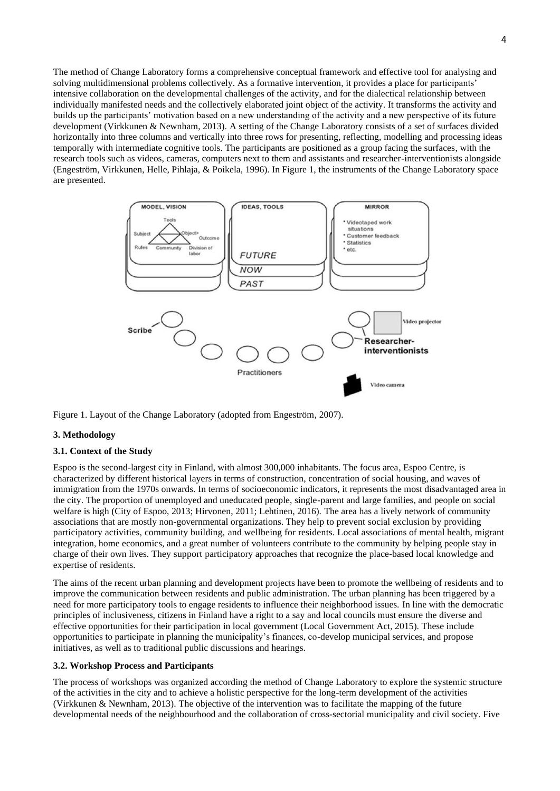The method of Change Laboratory forms a comprehensive conceptual framework and effective tool for analysing and solving multidimensional problems collectively. As a formative intervention, it provides a place for participants' intensive collaboration on the developmental challenges of the activity, and for the dialectical relationship between individually manifested needs and the collectively elaborated joint object of the activity. It transforms the activity and builds up the participants' motivation based on a new understanding of the activity and a new perspective of its future development (Virkkunen & Newnham, 2013). A setting of the Change Laboratory consists of a set of surfaces divided horizontally into three columns and vertically into three rows for presenting, reflecting, modelling and processing ideas temporally with intermediate cognitive tools. The participants are positioned as a group facing the surfaces, with the research tools such as videos, cameras, computers next to them and assistants and researcher-interventionists alongside (Engeström, Virkkunen, Helle, Pihlaja, & Poikela, 1996). In Figure 1, the instruments of the Change Laboratory space are presented.



Figure 1. Layout of the Change Laboratory (adopted from Engeström, 2007).

# **3. Methodology**

## **3.1. Context of the Study**

Espoo is the second-largest city in Finland, with almost 300,000 inhabitants. The focus area, Espoo Centre, is characterized by different historical layers in terms of construction, concentration of social housing, and waves of immigration from the 1970s onwards. In terms of socioeconomic indicators, it represents the most disadvantaged area in the city. The proportion of unemployed and uneducated people, single-parent and large families, and people on social welfare is high (City of Espoo, 2013; Hirvonen, 2011; Lehtinen, 2016). The area has a lively network of community associations that are mostly non-governmental organizations. They help to prevent social exclusion by providing participatory activities, community building, and wellbeing for residents. Local associations of mental health, migrant integration, home economics, and a great number of volunteers contribute to the community by helping people stay in charge of their own lives. They support participatory approaches that recognize the place-based local knowledge and expertise of residents.

The aims of the recent urban planning and development projects have been to promote the wellbeing of residents and to improve the communication between residents and public administration. The urban planning has been triggered by a need for more participatory tools to engage residents to influence their neighborhood issues. In line with the democratic principles of inclusiveness, citizens in Finland have a right to a say and local councils must ensure the diverse and effective opportunities for their participation in local government (Local Government Act, 2015). These include opportunities to participate in planning the municipality's finances, co-develop municipal services, and propose initiatives, as well as to traditional public discussions and hearings.

# **3.2. Workshop Process and Participants**

The process of workshops was organized according the method of Change Laboratory to explore the systemic structure of the activities in the city and to achieve a holistic perspective for the long-term development of the activities (Virkkunen & Newnham, 2013). The objective of the intervention was to facilitate the mapping of the future developmental needs of the neighbourhood and the collaboration of cross-sectorial municipality and civil society. Five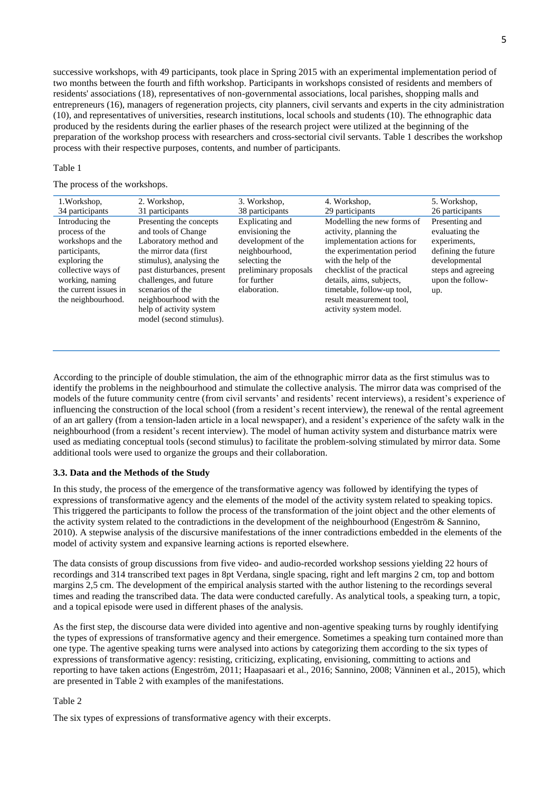successive workshops, with 49 participants, took place in Spring 2015 with an experimental implementation period of two months between the fourth and fifth workshop. Participants in workshops consisted of residents and members of residents' associations (18), representatives of non-governmental associations, local parishes, shopping malls and entrepreneurs (16), managers of regeneration projects, city planners, civil servants and experts in the city administration (10), and representatives of universities, research institutions, local schools and students (10). The ethnographic data produced by the residents during the earlier phases of the research project were utilized at the beginning of the preparation of the workshop process with researchers and cross-sectorial civil servants. Table 1 describes the workshop process with their respective purposes, contents, and number of participants.

#### Table 1

### The process of the workshops.

| 1. Workshop,                                                                                                                                                                     | 2. Workshop,                                                                                                                                                                                                                                                                                | 3. Workshop,                                                                                                                                        | 4. Workshop,                                                                                                                                                                                                                                                                           | 5. Workshop,                                                                                                                              |
|----------------------------------------------------------------------------------------------------------------------------------------------------------------------------------|---------------------------------------------------------------------------------------------------------------------------------------------------------------------------------------------------------------------------------------------------------------------------------------------|-----------------------------------------------------------------------------------------------------------------------------------------------------|----------------------------------------------------------------------------------------------------------------------------------------------------------------------------------------------------------------------------------------------------------------------------------------|-------------------------------------------------------------------------------------------------------------------------------------------|
| 34 participants                                                                                                                                                                  | 31 participants                                                                                                                                                                                                                                                                             | 38 participants                                                                                                                                     | 29 participants                                                                                                                                                                                                                                                                        | 26 participants                                                                                                                           |
| Introducing the<br>process of the<br>workshops and the<br>participants,<br>exploring the<br>collective ways of<br>working, naming<br>the current issues in<br>the neighbourhood. | Presenting the concepts<br>and tools of Change<br>Laboratory method and<br>the mirror data (first)<br>stimulus), analysing the<br>past disturbances, present<br>challenges, and future<br>scenarios of the<br>neighbourhood with the<br>help of activity system<br>model (second stimulus). | Explicating and<br>envisioning the<br>development of the<br>neighbourhood,<br>selecting the<br>preliminary proposals<br>for further<br>elaboration. | Modelling the new forms of<br>activity, planning the<br>implementation actions for<br>the experimentation period<br>with the help of the<br>checklist of the practical<br>details, aims, subjects,<br>timetable, follow-up tool,<br>result measurement tool,<br>activity system model. | Presenting and<br>evaluating the<br>experiments,<br>defining the future<br>developmental<br>steps and agreeing<br>upon the follow-<br>up. |
|                                                                                                                                                                                  |                                                                                                                                                                                                                                                                                             |                                                                                                                                                     |                                                                                                                                                                                                                                                                                        |                                                                                                                                           |

According to the principle of double stimulation, the aim of the ethnographic mirror data as the first stimulus was to identify the problems in the neighbourhood and stimulate the collective analysis. The mirror data was comprised of the models of the future community centre (from civil servants' and residents' recent interviews), a resident's experience of influencing the construction of the local school (from a resident's recent interview), the renewal of the rental agreement of an art gallery (from a tension-laden article in a local newspaper), and a resident's experience of the safety walk in the neighbourhood (from a resident's recent interview). The model of human activity system and disturbance matrix were used as mediating conceptual tools (second stimulus) to facilitate the problem-solving stimulated by mirror data. Some additional tools were used to organize the groups and their collaboration.

#### **3.3. Data and the Methods of the Study**

In this study, the process of the emergence of the transformative agency was followed by identifying the types of expressions of transformative agency and the elements of the model of the activity system related to speaking topics. This triggered the participants to follow the process of the transformation of the joint object and the other elements of the activity system related to the contradictions in the development of the neighbourhood (Engeström & Sannino, 2010). A stepwise analysis of the discursive manifestations of the inner contradictions embedded in the elements of the model of activity system and expansive learning actions is reported elsewhere.

The data consists of group discussions from five video- and audio-recorded workshop sessions yielding 22 hours of recordings and 314 transcribed text pages in 8pt Verdana, single spacing, right and left margins 2 cm, top and bottom margins 2,5 cm. The development of the empirical analysis started with the author listening to the recordings several times and reading the transcribed data. The data were conducted carefully. As analytical tools, a speaking turn, a topic, and a topical episode were used in different phases of the analysis.

As the first step, the discourse data were divided into agentive and non-agentive speaking turns by roughly identifying the types of expressions of transformative agency and their emergence. Sometimes a speaking turn contained more than one type. The agentive speaking turns were analysed into actions by categorizing them according to the six types of expressions of transformative agency: resisting, criticizing, explicating, envisioning, committing to actions and reporting to have taken actions (Engeström, 2011; Haapasaari et al., 2016; Sannino, 2008; Vänninen et al., 2015), which are presented in Table 2 with examples of the manifestations.

### Table 2

The six types of expressions of transformative agency with their excerpts.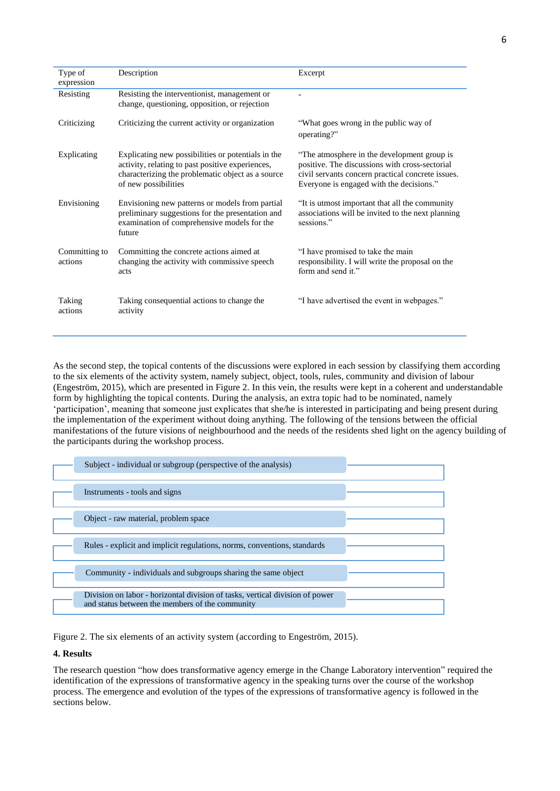| Type of<br>expression    | Description                                                                                                                                                                         | Excerpt                                                                                                                                                                                        |
|--------------------------|-------------------------------------------------------------------------------------------------------------------------------------------------------------------------------------|------------------------------------------------------------------------------------------------------------------------------------------------------------------------------------------------|
| Resisting                | Resisting the interventionist, management or<br>change, questioning, opposition, or rejection                                                                                       |                                                                                                                                                                                                |
| Criticizing              | Criticizing the current activity or organization                                                                                                                                    | "What goes wrong in the public way of<br>operating?"                                                                                                                                           |
| Explicating              | Explicating new possibilities or potentials in the<br>activity, relating to past positive experiences,<br>characterizing the problematic object as a source<br>of new possibilities | "The atmosphere in the development group is<br>positive. The discussions with cross-sectorial<br>civil servants concern practical concrete issues.<br>Everyone is engaged with the decisions." |
| Envisioning              | Envisioning new patterns or models from partial<br>preliminary suggestions for the presentation and<br>examination of comprehensive models for the<br>future                        | "It is utmost important that all the community"<br>associations will be invited to the next planning<br>sessions."                                                                             |
| Committing to<br>actions | Committing the concrete actions aimed at<br>changing the activity with commissive speech<br>acts                                                                                    | "I have promised to take the main<br>responsibility. I will write the proposal on the<br>form and send it."                                                                                    |
| Taking<br>actions        | Taking consequential actions to change the<br>activity                                                                                                                              | "I have advertised the event in webpages."                                                                                                                                                     |

As the second step, the topical contents of the discussions were explored in each session by classifying them according to the six elements of the activity system, namely subject, object, tools, rules, community and division of labour (Engeström, 2015), which are presented in Figure 2. In this vein, the results were kept in a coherent and understandable form by highlighting the topical contents. During the analysis, an extra topic had to be nominated, namely 'participation', meaning that someone just explicates that she/he is interested in participating and being present during the implementation of the experiment without doing anything. The following of the tensions between the official manifestations of the future visions of neighbourhood and the needs of the residents shed light on the agency building of the participants during the workshop process.

| Subject - individual or subgroup (perspective of the analysis)                                                                  |  |
|---------------------------------------------------------------------------------------------------------------------------------|--|
| Instruments - tools and signs                                                                                                   |  |
| Object - raw material, problem space                                                                                            |  |
| Rules - explicit and implicit regulations, norms, conventions, standards                                                        |  |
| Community - individuals and subgroups sharing the same object                                                                   |  |
| Division on labor - horizontal division of tasks, vertical division of power<br>and status between the members of the community |  |

Figure 2. The six elements of an activity system (according to Engeström, 2015).

## **4. Results**

The research question "how does transformative agency emerge in the Change Laboratory intervention" required the identification of the expressions of transformative agency in the speaking turns over the course of the workshop process. The emergence and evolution of the types of the expressions of transformative agency is followed in the sections below.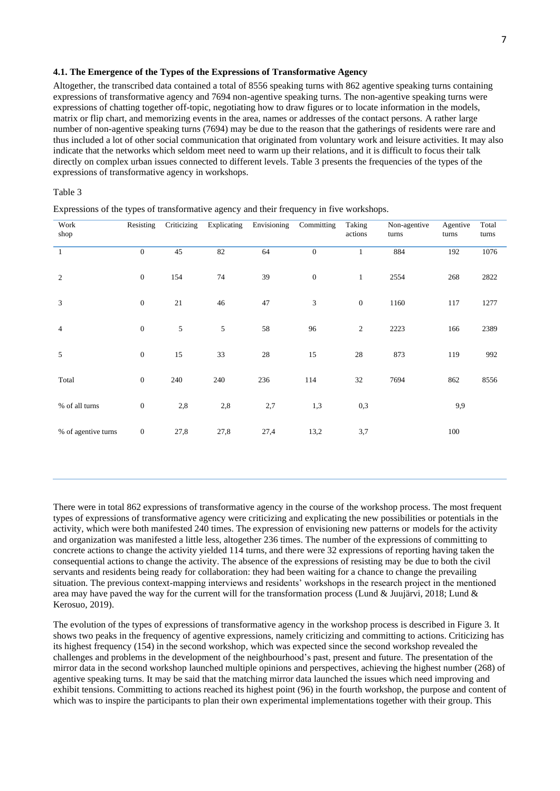# **4.1. The Emergence of the Types of the Expressions of Transformative Agency**

Altogether, the transcribed data contained a total of 8556 speaking turns with 862 agentive speaking turns containing expressions of transformative agency and 7694 non-agentive speaking turns. The non-agentive speaking turns were expressions of chatting together off-topic, negotiating how to draw figures or to locate information in the models, matrix or flip chart, and memorizing events in the area, names or addresses of the contact persons. A rather large number of non-agentive speaking turns (7694) may be due to the reason that the gatherings of residents were rare and thus included a lot of other social communication that originated from voluntary work and leisure activities. It may also indicate that the networks which seldom meet need to warm up their relations, and it is difficult to focus their talk directly on complex urban issues connected to different levels. Table 3 presents the frequencies of the types of the expressions of transformative agency in workshops.

## Table 3

| Work<br>shop        | Resisting        | Criticizing | Explicating | Envisioning | Committing       | Taking<br>actions | Non-agentive<br>turns | Agentive<br>turns | Total<br>turns |
|---------------------|------------------|-------------|-------------|-------------|------------------|-------------------|-----------------------|-------------------|----------------|
| $\mathbf{1}$        | $\mathbf{0}$     | 45          | 82          | 64          | $\boldsymbol{0}$ | $\mathbf{1}$      | 884                   | 192               | 1076           |
| $\overline{2}$      | $\boldsymbol{0}$ | 154         | 74          | 39          | $\boldsymbol{0}$ | $\mathbf{1}$      | 2554                  | 268               | 2822           |
| $\mathfrak{Z}$      | $\mathbf{0}$     | 21          | 46          | 47          | 3                | $\mathbf{0}$      | 1160                  | 117               | 1277           |
| $\overline{4}$      | $\boldsymbol{0}$ | 5           | 5           | 58          | 96               | 2                 | 2223                  | 166               | 2389           |
| 5                   | $\boldsymbol{0}$ | 15          | 33          | 28          | 15               | 28                | 873                   | 119               | 992            |
| Total               | $\boldsymbol{0}$ | 240         | 240         | 236         | 114              | 32                | 7694                  | 862               | 8556           |
| % of all turns      | $\boldsymbol{0}$ | 2,8         | 2,8         | 2,7         | 1,3              | 0,3               |                       | 9,9               |                |
| % of agentive turns | $\boldsymbol{0}$ | 27,8        | 27,8        | 27,4        | 13,2             | 3,7               |                       | 100               |                |

Expressions of the types of transformative agency and their frequency in five workshops.

There were in total 862 expressions of transformative agency in the course of the workshop process. The most frequent types of expressions of transformative agency were criticizing and explicating the new possibilities or potentials in the activity, which were both manifested 240 times. The expression of envisioning new patterns or models for the activity and organization was manifested a little less, altogether 236 times. The number of the expressions of committing to concrete actions to change the activity yielded 114 turns, and there were 32 expressions of reporting having taken the consequential actions to change the activity. The absence of the expressions of resisting may be due to both the civil servants and residents being ready for collaboration: they had been waiting for a chance to change the prevailing situation. The previous context-mapping interviews and residents' workshops in the research project in the mentioned area may have paved the way for the current will for the transformation process (Lund & Juujärvi, 2018; Lund & Kerosuo, 2019).

The evolution of the types of expressions of transformative agency in the workshop process is described in Figure 3. It shows two peaks in the frequency of agentive expressions, namely criticizing and committing to actions. Criticizing has its highest frequency (154) in the second workshop, which was expected since the second workshop revealed the challenges and problems in the development of the neighbourhood's past, present and future. The presentation of the mirror data in the second workshop launched multiple opinions and perspectives, achieving the highest number (268) of agentive speaking turns. It may be said that the matching mirror data launched the issues which need improving and exhibit tensions. Committing to actions reached its highest point (96) in the fourth workshop, the purpose and content of which was to inspire the participants to plan their own experimental implementations together with their group. This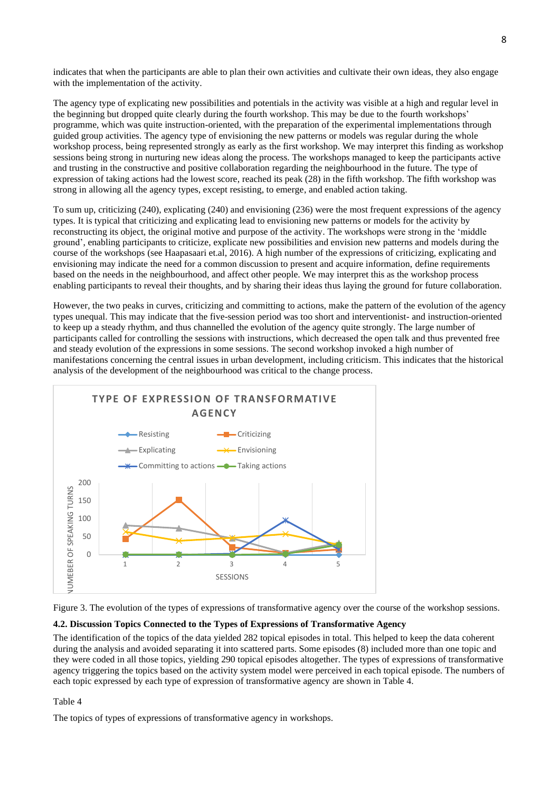indicates that when the participants are able to plan their own activities and cultivate their own ideas, they also engage with the implementation of the activity.

The agency type of explicating new possibilities and potentials in the activity was visible at a high and regular level in the beginning but dropped quite clearly during the fourth workshop. This may be due to the fourth workshops' programme, which was quite instruction-oriented, with the preparation of the experimental implementations through guided group activities. The agency type of envisioning the new patterns or models was regular during the whole workshop process, being represented strongly as early as the first workshop. We may interpret this finding as workshop sessions being strong in nurturing new ideas along the process. The workshops managed to keep the participants active and trusting in the constructive and positive collaboration regarding the neighbourhood in the future. The type of expression of taking actions had the lowest score, reached its peak (28) in the fifth workshop. The fifth workshop was strong in allowing all the agency types, except resisting, to emerge, and enabled action taking.

To sum up, criticizing (240), explicating (240) and envisioning (236) were the most frequent expressions of the agency types. It is typical that criticizing and explicating lead to envisioning new patterns or models for the activity by reconstructing its object, the original motive and purpose of the activity. The workshops were strong in the 'middle ground', enabling participants to criticize, explicate new possibilities and envision new patterns and models during the course of the workshops (see Haapasaari et.al, 2016). A high number of the expressions of criticizing, explicating and envisioning may indicate the need for a common discussion to present and acquire information, define requirements based on the needs in the neighbourhood, and affect other people. We may interpret this as the workshop process enabling participants to reveal their thoughts, and by sharing their ideas thus laying the ground for future collaboration.

However, the two peaks in curves, criticizing and committing to actions, make the pattern of the evolution of the agency types unequal. This may indicate that the five-session period was too short and interventionist- and instruction-oriented to keep up a steady rhythm, and thus channelled the evolution of the agency quite strongly. The large number of participants called for controlling the sessions with instructions, which decreased the open talk and thus prevented free and steady evolution of the expressions in some sessions. The second workshop invoked a high number of manifestations concerning the central issues in urban development, including criticism. This indicates that the historical analysis of the development of the neighbourhood was critical to the change process.





## **4.2. Discussion Topics Connected to the Types of Expressions of Transformative Agency**

The identification of the topics of the data yielded 282 topical episodes in total. This helped to keep the data coherent during the analysis and avoided separating it into scattered parts. Some episodes (8) included more than one topic and they were coded in all those topics, yielding 290 topical episodes altogether. The types of expressions of transformative agency triggering the topics based on the activity system model were perceived in each topical episode. The numbers of each topic expressed by each type of expression of transformative agency are shown in Table 4.

Table 4

The topics of types of expressions of transformative agency in workshops.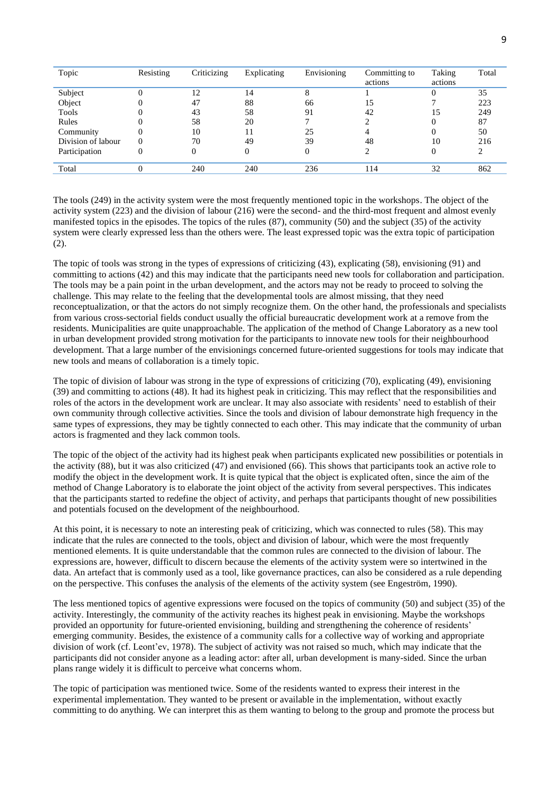| Topic              | Resisting | Criticizing | Explicating | Envisioning | Committing to<br>actions | Taking<br>actions | Total |
|--------------------|-----------|-------------|-------------|-------------|--------------------------|-------------------|-------|
| Subject            |           | 12          | 14          |             |                          |                   | 35    |
| Object             | 0         | 47          | 88          | 66          | 15                       |                   | 223   |
| Tools              | 0         | 43          | 58          | 91          | 42                       | 15                | 249   |
| Rules              | 0         | 58          | 20          |             |                          |                   | 87    |
| Community          | 0         | 10          | 11          | 25          |                          |                   | 50    |
| Division of labour | $\Omega$  | 70          | 49          | 39          | 48                       | 10                | 216   |
| Participation      | 0         |             |             |             |                          |                   |       |
| Total              | 0         | 240         | 240         | 236         | 114                      | 32                | 862   |

The tools (249) in the activity system were the most frequently mentioned topic in the workshops. The object of the activity system (223) and the division of labour (216) were the second- and the third-most frequent and almost evenly manifested topics in the episodes. The topics of the rules (87), community (50) and the subject (35) of the activity system were clearly expressed less than the others were. The least expressed topic was the extra topic of participation (2).

The topic of tools was strong in the types of expressions of criticizing (43), explicating (58), envisioning (91) and committing to actions (42) and this may indicate that the participants need new tools for collaboration and participation. The tools may be a pain point in the urban development, and the actors may not be ready to proceed to solving the challenge. This may relate to the feeling that the developmental tools are almost missing, that they need reconceptualization, or that the actors do not simply recognize them. On the other hand, the professionals and specialists from various cross-sectorial fields conduct usually the official bureaucratic development work at a remove from the residents. Municipalities are quite unapproachable. The application of the method of Change Laboratory as a new tool in urban development provided strong motivation for the participants to innovate new tools for their neighbourhood development. That a large number of the envisionings concerned future-oriented suggestions for tools may indicate that new tools and means of collaboration is a timely topic.

The topic of division of labour was strong in the type of expressions of criticizing (70), explicating (49), envisioning (39) and committing to actions (48). It had its highest peak in criticizing. This may reflect that the responsibilities and roles of the actors in the development work are unclear. It may also associate with residents' need to establish of their own community through collective activities. Since the tools and division of labour demonstrate high frequency in the same types of expressions, they may be tightly connected to each other. This may indicate that the community of urban actors is fragmented and they lack common tools.

The topic of the object of the activity had its highest peak when participants explicated new possibilities or potentials in the activity (88), but it was also criticized (47) and envisioned (66). This shows that participants took an active role to modify the object in the development work. It is quite typical that the object is explicated often, since the aim of the method of Change Laboratory is to elaborate the joint object of the activity from several perspectives. This indicates that the participants started to redefine the object of activity, and perhaps that participants thought of new possibilities and potentials focused on the development of the neighbourhood.

At this point, it is necessary to note an interesting peak of criticizing, which was connected to rules (58). This may indicate that the rules are connected to the tools, object and division of labour, which were the most frequently mentioned elements. It is quite understandable that the common rules are connected to the division of labour. The expressions are, however, difficult to discern because the elements of the activity system were so intertwined in the data. An artefact that is commonly used as a tool, like governance practices, can also be considered as a rule depending on the perspective. This confuses the analysis of the elements of the activity system (see Engeström, 1990).

The less mentioned topics of agentive expressions were focused on the topics of community (50) and subject (35) of the activity. Interestingly, the community of the activity reaches its highest peak in envisioning. Maybe the workshops provided an opportunity for future-oriented envisioning, building and strengthening the coherence of residents' emerging community. Besides, the existence of a community calls for a collective way of working and appropriate division of work (cf. Leont'ev, 1978). The subject of activity was not raised so much, which may indicate that the participants did not consider anyone as a leading actor: after all, urban development is many-sided. Since the urban plans range widely it is difficult to perceive what concerns whom.

The topic of participation was mentioned twice. Some of the residents wanted to express their interest in the experimental implementation. They wanted to be present or available in the implementation, without exactly committing to do anything. We can interpret this as them wanting to belong to the group and promote the process but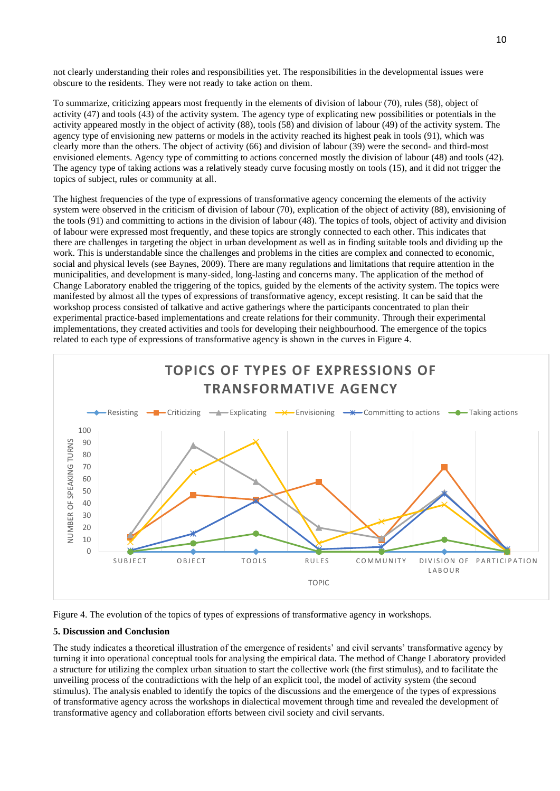not clearly understanding their roles and responsibilities yet. The responsibilities in the developmental issues were obscure to the residents. They were not ready to take action on them.

To summarize, criticizing appears most frequently in the elements of division of labour (70), rules (58), object of activity (47) and tools (43) of the activity system. The agency type of explicating new possibilities or potentials in the activity appeared mostly in the object of activity (88), tools (58) and division of labour (49) of the activity system. The agency type of envisioning new patterns or models in the activity reached its highest peak in tools (91), which was clearly more than the others. The object of activity (66) and division of labour (39) were the second- and third-most envisioned elements. Agency type of committing to actions concerned mostly the division of labour (48) and tools (42). The agency type of taking actions was a relatively steady curve focusing mostly on tools (15), and it did not trigger the topics of subject, rules or community at all.

The highest frequencies of the type of expressions of transformative agency concerning the elements of the activity system were observed in the criticism of division of labour (70), explication of the object of activity (88), envisioning of the tools (91) and committing to actions in the division of labour (48). The topics of tools, object of activity and division of labour were expressed most frequently, and these topics are strongly connected to each other. This indicates that there are challenges in targeting the object in urban development as well as in finding suitable tools and dividing up the work. This is understandable since the challenges and problems in the cities are complex and connected to economic, social and physical levels (see Baynes, 2009). There are many regulations and limitations that require attention in the municipalities, and development is many-sided, long-lasting and concerns many. The application of the method of Change Laboratory enabled the triggering of the topics, guided by the elements of the activity system. The topics were manifested by almost all the types of expressions of transformative agency, except resisting. It can be said that the workshop process consisted of talkative and active gatherings where the participants concentrated to plan their experimental practice-based implementations and create relations for their community. Through their experimental implementations, they created activities and tools for developing their neighbourhood. The emergence of the topics related to each type of expressions of transformative agency is shown in the curves in Figure 4.





# **5. Discussion and Conclusion**

The study indicates a theoretical illustration of the emergence of residents' and civil servants' transformative agency by turning it into operational conceptual tools for analysing the empirical data. The method of Change Laboratory provided a structure for utilizing the complex urban situation to start the collective work (the first stimulus), and to facilitate the unveiling process of the contradictions with the help of an explicit tool, the model of activity system (the second stimulus). The analysis enabled to identify the topics of the discussions and the emergence of the types of expressions of transformative agency across the workshops in dialectical movement through time and revealed the development of transformative agency and collaboration efforts between civil society and civil servants.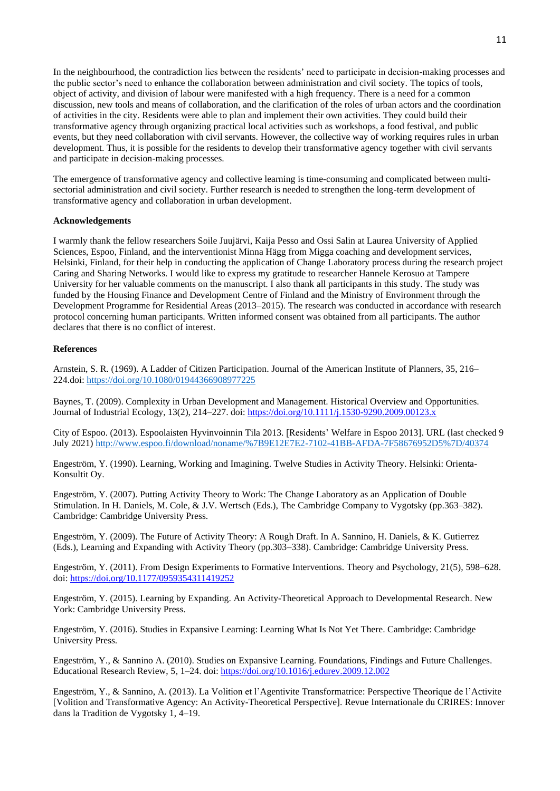In the neighbourhood, the contradiction lies between the residents' need to participate in decision-making processes and the public sector's need to enhance the collaboration between administration and civil society. The topics of tools, object of activity, and division of labour were manifested with a high frequency. There is a need for a common discussion, new tools and means of collaboration, and the clarification of the roles of urban actors and the coordination of activities in the city. Residents were able to plan and implement their own activities. They could build their transformative agency through organizing practical local activities such as workshops, a food festival, and public events, but they need collaboration with civil servants. However, the collective way of working requires rules in urban development. Thus, it is possible for the residents to develop their transformative agency together with civil servants and participate in decision-making processes.

The emergence of transformative agency and collective learning is time-consuming and complicated between multisectorial administration and civil society. Further research is needed to strengthen the long-term development of transformative agency and collaboration in urban development.

## **Acknowledgements**

I warmly thank the fellow researchers Soile Juujärvi, Kaija Pesso and Ossi Salin at Laurea University of Applied Sciences, Espoo, Finland, and the interventionist Minna Hägg from Migga coaching and development services, Helsinki, Finland, for their help in conducting the application of Change Laboratory process during the research project Caring and Sharing Networks. I would like to express my gratitude to researcher Hannele Kerosuo at Tampere University for her valuable comments on the manuscript. I also thank all participants in this study. The study was funded by the Housing Finance and Development Centre of Finland and the Ministry of Environment through the Development Programme for Residential Areas (2013–2015). The research was conducted in accordance with research protocol concerning human participants. Written informed consent was obtained from all participants. The author declares that there is no conflict of interest.

## **References**

Arnstein, S. R. (1969). A Ladder of Citizen Participation. Journal of the American Institute of Planners, 35, 216– 224.doi: <https://doi.org/10.1080/01944366908977225>

Baynes, T. (2009). Complexity in Urban Development and Management. Historical Overview and Opportunities. Journal of Industrial Ecology, 13(2), 214–227. doi:<https://doi.org/10.1111/j.1530-9290.2009.00123.x>

City of Espoo. (2013). Espoolaisten Hyvinvoinnin Tila 2013. [Residents' Welfare in Espoo 2013]. URL (last checked 9 July 2021) <http://www.espoo.fi/download/noname/%7B9E12E7E2-7102-41BB-AFDA-7F58676952D5%7D/40374>

Engeström, Y. (1990). Learning, Working and Imagining. Twelve Studies in Activity Theory. Helsinki: Orienta-Konsultit Oy.

Engeström, Y. (2007). Putting Activity Theory to Work: The Change Laboratory as an Application of Double Stimulation. In H. Daniels, M. Cole, & J.V. Wertsch (Eds.), The Cambridge Company to Vygotsky (pp.363–382). Cambridge: Cambridge University Press.

Engeström, Y. (2009). The Future of Activity Theory: A Rough Draft. In A. Sannino, H. Daniels, & K. Gutierrez (Eds.), Learning and Expanding with Activity Theory (pp.303–338). Cambridge: Cambridge University Press.

Engeström, Y. (2011). From Design Experiments to Formative Interventions. Theory and Psychology, 21(5), 598–628. doi: [https://doi.org/10.1177/0959354311419252](https://doi.org/10.1177%2F0959354311419252)

Engeström, Y. (2015). Learning by Expanding. An Activity-Theoretical Approach to Developmental Research. New York: Cambridge University Press.

Engeström, Y. (2016). Studies in Expansive Learning: Learning What Is Not Yet There. Cambridge: Cambridge University Press.

Engeström, Y., & Sannino A. (2010). Studies on Expansive Learning. Foundations, Findings and Future Challenges. Educational Research Review, 5*,* 1–24. doi: <https://doi.org/10.1016/j.edurev.2009.12.002>

Engeström, Y., & Sannino, A. (2013). La Volition et l'Agentivite Transformatrice: Perspective Theorique de l'Activite [Volition and Transformative Agency: An Activity-Theoretical Perspective]. Revue Internationale du CRIRES: Innover dans la Tradition de Vygotsky 1, 4–19.